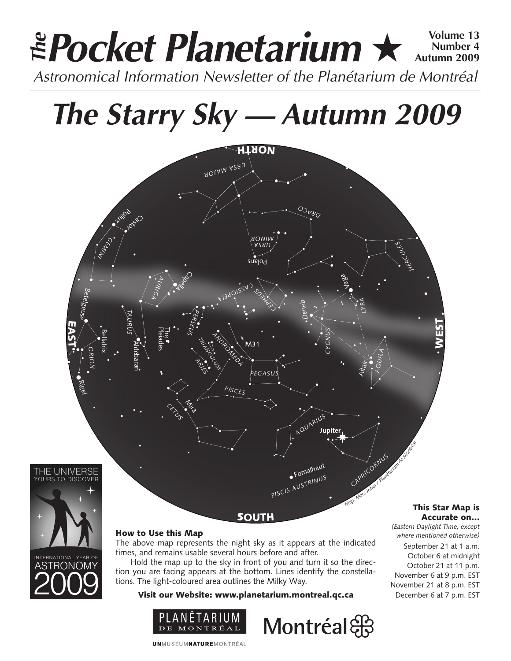### **Pocket Planetarium** ★ **Volume 13** Astronomical Information Newsletter of the Planétarium de Montréal **The Number 4 Autumn 2009**

# **The Starry Sky — Autumn 2009**





#### How to Use this Map

The above map represents the night sky as it appears at the indicated times, and remains usable several hours before and after.

Hold the map up to the sky in front of you and turn it so the direction you are facing appears at the bottom. Lines identify the constellations. The light-coloured area outlines the Milky Way.

Visit our Website: www.planetarium.montreal.qc.ca





#### This Star Map is Accurate on…

*(Eastern Daylight Time, except where mentioned otherwise)* September 21 at 1 a.m. October 6 at midnight October 21 at 11 p.m. November 6 at 9 p.m. EST November 21 at 8 p.m. EST December 6 at 7 p.m. EST

**UNMUSÉUMNATUREMONTRÉAL**